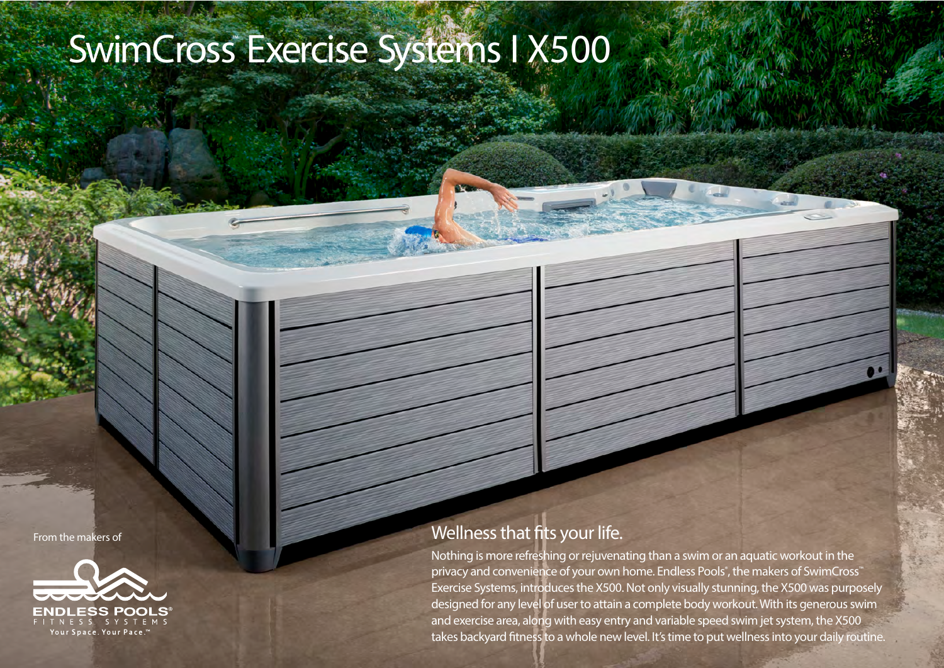## SwimCross Exercise Systems I X500

From the makers of



## Wellness that fits your life.

Nothing is more refreshing or rejuvenating than a swim or an aquatic workout in the privacy and convenience of your own home. Endless Pools® , the makers of SwimCross™ Exercise Systems, introduces the X500. Not only visually stunning, the X500 was purposely designed for any level of user to attain a complete body workout. With its generous swim and exercise area, along with easy entry and variable speed swim jet system, the X500 takes backyard fitness to a whole new level. It's time to put wellness into your daily routine.